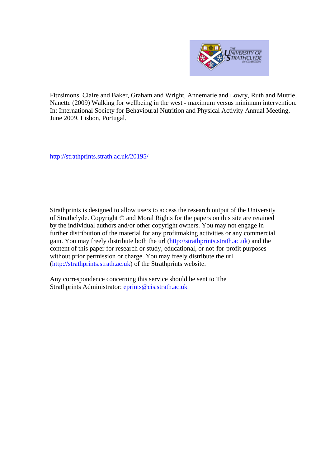

Fitzsimons, Claire and Baker, Graham and Wright, Annemarie and Lowry, Ruth and Mutrie, Nanette (2009) Walking for wellbeing in the west - maximum versus minimum intervention. In: International Society for Behavioural Nutrition and Physical Activity Annual Meeting, June 2009, Lisbon, Portugal.

http://strathprints.strath.ac.uk/20195/

Strathprints is designed to allow users to access the research output of the University of Strathclyde. Copyright © and Moral Rights for the papers on this site are retained by the individual authors and/or other copyright owners. You may not engage in further distribution of the material for any profitmaking activities or any commercial gain. You may freely distribute both the url (http://strathprints[.strath.ac.uk\)](https://nemo.strath.ac.uk/exchweb/bin/redir.asp?URL=http://eprints.cdlr.strath.ac.uk) and the content of this paper for research or study, educational, or not-for-profit purposes without prior permission or charge. You may freely distribute the url (http://strathprints.strath.ac.uk) of the Strathprints website.

Any correspondence concerning this service should be sent to The Strathprints Administrator: eprints@cis.strath.ac.uk